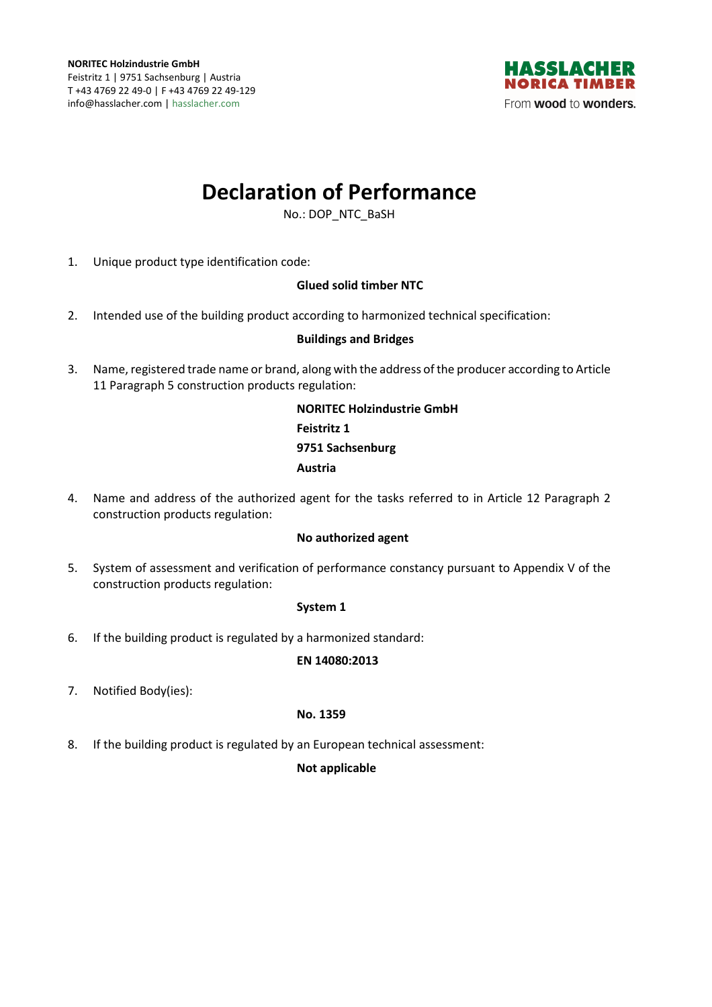

# **Declaration of Performance**

No.: DOP\_NTC\_BaSH

1. Unique product type identification code:

## **Glued solid timber NTC**

2. Intended use of the building product according to harmonized technical specification:

## **Buildings and Bridges**

3. Name, registered trade name or brand, along with the address of the producer according to Article 11 Paragraph 5 construction products regulation:

> **NORITEC Holzindustrie GmbH Feistritz 1 9751 Sachsenburg Austria**

4. Name and address of the authorized agent for the tasks referred to in Article 12 Paragraph 2 construction products regulation:

#### **No authorized agent**

5. System of assessment and verification of performance constancy pursuant to Appendix V of the construction products regulation:

#### **System 1**

6. If the building product is regulated by a harmonized standard:

#### **EN 14080:2013**

7. Notified Body(ies):

#### **No. 1359**

8. If the building product is regulated by an European technical assessment:

#### **Not applicable**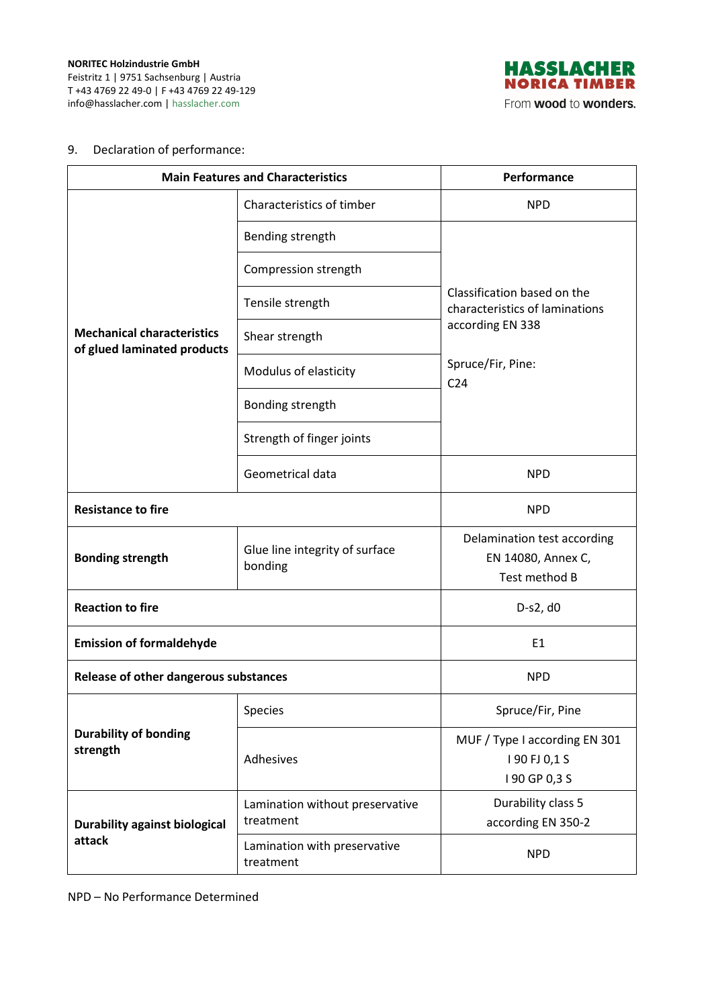

# 9. Declaration of performance:

| <b>Main Features and Characteristics</b>                         |                                              | Performance                                                                                                               |
|------------------------------------------------------------------|----------------------------------------------|---------------------------------------------------------------------------------------------------------------------------|
| <b>Mechanical characteristics</b><br>of glued laminated products | Characteristics of timber                    | <b>NPD</b>                                                                                                                |
|                                                                  | Bending strength                             | Classification based on the<br>characteristics of laminations<br>according EN 338<br>Spruce/Fir, Pine:<br>C <sub>24</sub> |
|                                                                  | Compression strength                         |                                                                                                                           |
|                                                                  | Tensile strength                             |                                                                                                                           |
|                                                                  | Shear strength                               |                                                                                                                           |
|                                                                  | Modulus of elasticity                        |                                                                                                                           |
|                                                                  | Bonding strength                             |                                                                                                                           |
|                                                                  | Strength of finger joints                    |                                                                                                                           |
|                                                                  | Geometrical data                             | <b>NPD</b>                                                                                                                |
| <b>Resistance to fire</b>                                        |                                              | <b>NPD</b>                                                                                                                |
| <b>Bonding strength</b>                                          | Glue line integrity of surface<br>bonding    | Delamination test according<br>EN 14080, Annex C,<br>Test method B                                                        |
| <b>Reaction to fire</b>                                          |                                              | D-s2, d0                                                                                                                  |
| <b>Emission of formaldehyde</b>                                  |                                              | E <sub>1</sub>                                                                                                            |
| Release of other dangerous substances                            |                                              | <b>NPD</b>                                                                                                                |
| <b>Durability of bonding</b><br>strength                         | Species                                      | Spruce/Fir, Pine                                                                                                          |
|                                                                  | Adhesives                                    | MUF / Type I according EN 301<br>190 FJ 0,1 S<br>I 90 GP 0,3 S                                                            |
| <b>Durability against biological</b><br>attack                   | Lamination without preservative<br>treatment | Durability class 5<br>according EN 350-2                                                                                  |
|                                                                  | Lamination with preservative<br>treatment    | <b>NPD</b>                                                                                                                |

NPD – No Performance Determined